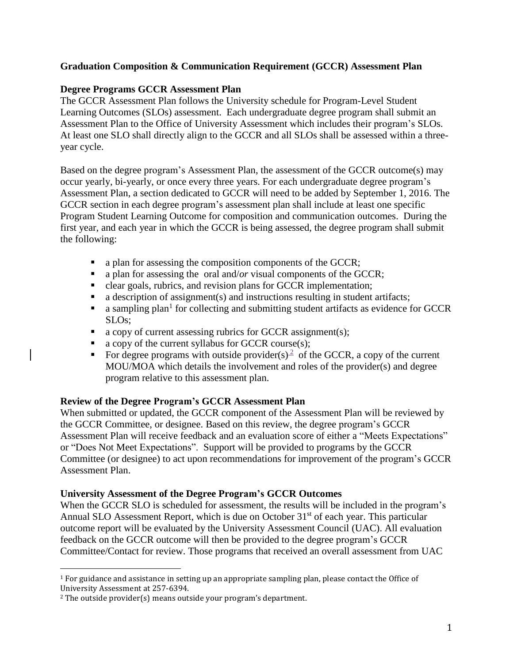# **Graduation Composition & Communication Requirement (GCCR) Assessment Plan**

### **Degree Programs GCCR Assessment Plan**

The GCCR Assessment Plan follows the University schedule for Program-Level Student Learning Outcomes (SLOs) assessment. Each undergraduate degree program shall submit an Assessment Plan to the Office of University Assessment which includes their program's SLOs. At least one SLO shall directly align to the GCCR and all SLOs shall be assessed within a threeyear cycle.

Based on the degree program's Assessment Plan, the assessment of the GCCR outcome(s) may occur yearly, bi-yearly, or once every three years. For each undergraduate degree program's Assessment Plan, a section dedicated to GCCR will need to be added by September 1, 2016. The GCCR section in each degree program's assessment plan shall include at least one specific Program Student Learning Outcome for composition and communication outcomes. During the first year, and each year in which the GCCR is being assessed, the degree program shall submit the following:

- a plan for assessing the composition components of the GCCR;
- a plan for assessing the oral and/*or* visual components of the GCCR;
- elear goals, rubrics, and revision plans for GCCR implementation;
- a description of assignment(s) and instructions resulting in student artifacts;
- $\blacksquare$  a sampling plan<sup>1</sup> for collecting and submitting student artifacts as evidence for GCCR SLOs;
- $\blacksquare$  a copy of current assessing rubrics for GCCR assignment(s);
- $\blacksquare$  a copy of the current syllabus for GCCR course(s);
- For degree programs with outside provider(s)<sup>2</sup> of the GCCR, a copy of the current MOU/MOA which details the involvement and roles of the provider(s) and degree program relative to this assessment plan.

# **Review of the Degree Program's GCCR Assessment Plan**

When submitted or updated, the GCCR component of the Assessment Plan will be reviewed by the GCCR Committee, or designee. Based on this review, the degree program's GCCR Assessment Plan will receive feedback and an evaluation score of either a "Meets Expectations" or "Does Not Meet Expectations". Support will be provided to programs by the GCCR Committee (or designee) to act upon recommendations for improvement of the program's GCCR Assessment Plan.

#### **University Assessment of the Degree Program's GCCR Outcomes**

When the GCCR SLO is scheduled for assessment, the results will be included in the program's Annual SLO Assessment Report, which is due on October 31<sup>st</sup> of each year. This particular outcome report will be evaluated by the University Assessment Council (UAC). All evaluation feedback on the GCCR outcome will then be provided to the degree program's GCCR Committee/Contact for review. Those programs that received an overall assessment from UAC

 $\overline{a}$ 

<sup>1</sup> For guidance and assistance in setting up an appropriate sampling plan, please contact the Office of University Assessment at 257-6394.

<sup>2</sup> The outside provider(s) means outside your program's department.